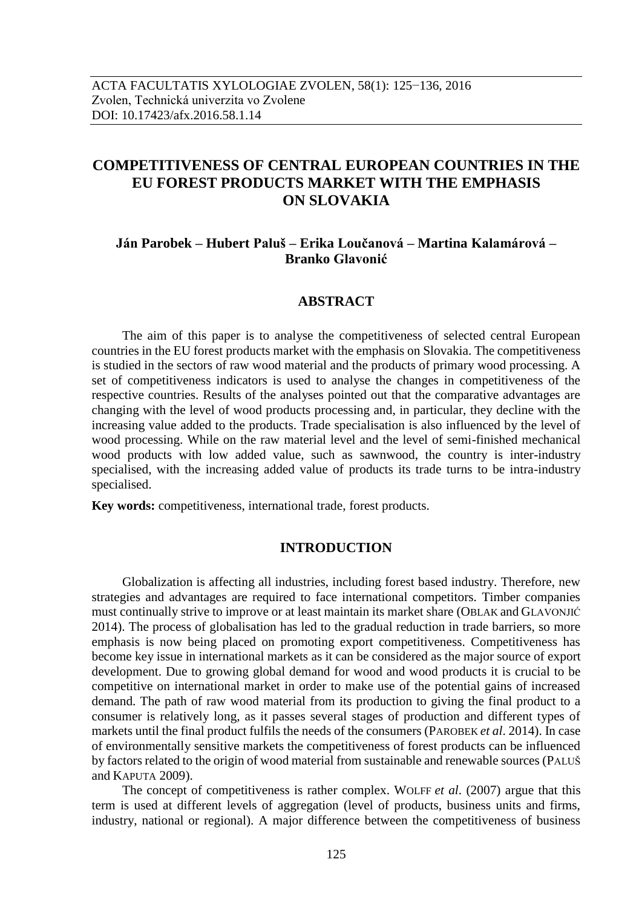# **COMPETITIVENESS OF CENTRAL EUROPEAN COUNTRIES IN THE EU FOREST PRODUCTS MARKET WITH THE EMPHASIS ON SLOVAKIA**

# **Ján Parobek – Hubert Paluš – Erika Loučanová – Martina Kalamárová – Branko Glavonić**

## **ABSTRACT**

The aim of this paper is to analyse the competitiveness of selected central European countries in the EU forest products market with the emphasis on Slovakia. The competitiveness is studied in the sectors of raw wood material and the products of primary wood processing. A set of competitiveness indicators is used to analyse the changes in competitiveness of the respective countries. Results of the analyses pointed out that the comparative advantages are changing with the level of wood products processing and, in particular, they decline with the increasing value added to the products. Trade specialisation is also influenced by the level of wood processing. While on the raw material level and the level of semi-finished mechanical wood products with low added value, such as sawnwood, the country is inter-industry specialised, with the increasing added value of products its trade turns to be intra-industry specialised.

**Key words:** competitiveness, international trade, forest products.

### **INTRODUCTION**

Globalization is affecting all industries, including forest based industry. Therefore, new strategies and advantages are required to face international competitors. Timber companies must continually strive to improve or at least maintain its market share (OBLAK and GLAVONJIĆ 2014). The process of globalisation has led to the gradual reduction in trade barriers, so more emphasis is now being placed on promoting export competitiveness. Competitiveness has become key issue in international markets as it can be considered as the major source of export development. Due to growing global demand for wood and wood products it is crucial to be competitive on international market in order to make use of the potential gains of increased demand. The path of raw wood material from its production to giving the final product to a consumer is relatively long, as it passes several stages of production and different types of markets until the final product fulfils the needs of the consumers (PAROBEK *et al*. 2014). In case of environmentally sensitive markets the competitiveness of forest products can be influenced by factors related to the origin of wood material from sustainable and renewable sources (PALUŠ and KAPUTA 2009).

The concept of competitiveness is rather complex. WOLFF *et al*. (2007) argue that this term is used at different levels of aggregation (level of products, business units and firms, industry, national or regional). A major difference between the competitiveness of business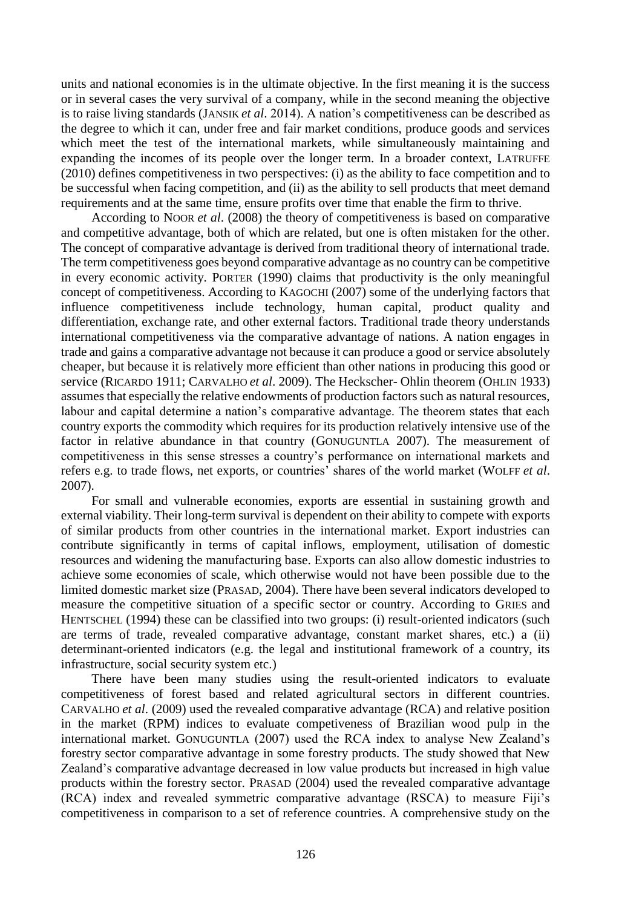units and national economies is in the ultimate objective. In the first meaning it is the success or in several cases the very survival of a company, while in the second meaning the objective is to raise living standards (JANSIK *et al*. 2014). A nation's competitiveness can be described as the degree to which it can, under free and fair market conditions, produce goods and services which meet the test of the international markets, while simultaneously maintaining and expanding the incomes of its people over the longer term. In a broader context, LATRUFFE (2010) defines competitiveness in two perspectives: (i) as the ability to face competition and to be successful when facing competition, and (ii) as the ability to sell products that meet demand requirements and at the same time, ensure profits over time that enable the firm to thrive.

According to NOOR *et al*. (2008) the theory of competitiveness is based on comparative and competitive advantage, both of which are related, but one is often mistaken for the other. The concept of comparative advantage is derived from traditional theory of international trade. The term competitiveness goes beyond comparative advantage as no country can be competitive in every economic activity. PORTER (1990) claims that productivity is the only meaningful concept of competitiveness. According to KAGOCHI (2007) some of the underlying factors that influence competitiveness include technology, human capital, product quality and differentiation, exchange rate, and other external factors. Traditional trade theory understands international competitiveness via the comparative advantage of nations. A nation engages in trade and gains a comparative advantage not because it can produce a good or service absolutely cheaper, but because it is relatively more efficient than other nations in producing this good or service (RICARDO 1911; CARVALHO *et al*. 2009). The Heckscher- Ohlin theorem (OHLIN 1933) assumes that especially the relative endowments of production factors such as natural resources, labour and capital determine a nation's comparative advantage. The theorem states that each country exports the commodity which requires for its production relatively intensive use of the factor in relative abundance in that country (GONUGUNTLA 2007). The measurement of competitiveness in this sense stresses a country's performance on international markets and refers e.g. to trade flows, net exports, or countries' shares of the world market (WOLFF *et al*. 2007).

For small and vulnerable economies, exports are essential in sustaining growth and external viability. Their long-term survival is dependent on their ability to compete with exports of similar products from other countries in the international market. Export industries can contribute significantly in terms of capital inflows, employment, utilisation of domestic resources and widening the manufacturing base. Exports can also allow domestic industries to achieve some economies of scale, which otherwise would not have been possible due to the limited domestic market size (PRASAD, 2004). There have been several indicators developed to measure the competitive situation of a specific sector or country. According to GRIES and HENTSCHEL (1994) these can be classified into two groups: (i) result-oriented indicators (such are terms of trade, revealed comparative advantage, constant market shares, etc.) a (ii) determinant-oriented indicators (e.g. the legal and institutional framework of a country, its infrastructure, social security system etc.)

There have been many studies using the result-oriented indicators to evaluate competitiveness of forest based and related agricultural sectors in different countries. CARVALHO *et al*. (2009) used the revealed comparative advantage (RCA) and relative position in the market (RPM) indices to evaluate competiveness of Brazilian wood pulp in the international market. GONUGUNTLA (2007) used the RCA index to analyse New Zealand's forestry sector comparative advantage in some forestry products. The study showed that New Zealand's comparative advantage decreased in low value products but increased in high value products within the forestry sector. PRASAD (2004) used the revealed comparative advantage (RCA) index and revealed symmetric comparative advantage (RSCA) to measure Fiji's competitiveness in comparison to a set of reference countries. A comprehensive study on the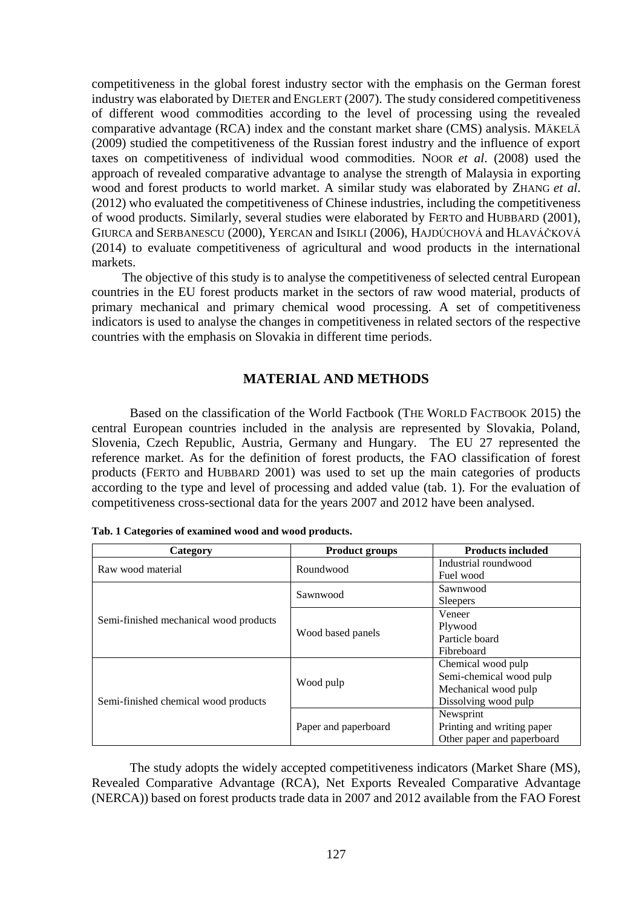competitiveness in the global forest industry sector with the emphasis on the German forest industry was elaborated by DIETER and ENGLERT (2007). The study considered competitiveness of different wood commodities according to the level of processing using the revealed comparative advantage (RCA) index and the constant market share (CMS) analysis. MÄKELÄ (2009) studied the competitiveness of the Russian forest industry and the influence of export taxes on competitiveness of individual wood commodities. NOOR *et al*. (2008) used the approach of revealed comparative advantage to analyse the strength of Malaysia in exporting wood and forest products to world market. A similar study was elaborated by ZHANG *et al*. (2012) who evaluated the competitiveness of Chinese industries, including the competitiveness of wood products. Similarly, several studies were elaborated by FERTO and HUBBARD (2001), GIURCA and SERBANESCU (2000), YERCAN and ISIKLI (2006), HAJDÚCHOVÁ and HLAVÁČKOVÁ (2014) to evaluate competitiveness of agricultural and wood products in the international markets.

The objective of this study is to analyse the competitiveness of selected central European countries in the EU forest products market in the sectors of raw wood material, products of primary mechanical and primary chemical wood processing. A set of competitiveness indicators is used to analyse the changes in competitiveness in related sectors of the respective countries with the emphasis on Slovakia in different time periods.

# **MATERIAL AND METHODS**

Based on the classification of the World Factbook (THE WORLD FACTBOOK 2015) the central European countries included in the analysis are represented by Slovakia, Poland, Slovenia, Czech Republic, Austria, Germany and Hungary. The EU 27 represented the reference market. As for the definition of forest products, the FAO classification of forest products (FERTO and HUBBARD 2001) was used to set up the main categories of products according to the type and level of processing and added value (tab. 1). For the evaluation of competitiveness cross-sectional data for the years 2007 and 2012 have been analysed.

| Category                               | <b>Product groups</b> | <b>Products included</b>   |
|----------------------------------------|-----------------------|----------------------------|
| Raw wood material                      | Roundwood             | Industrial roundwood       |
|                                        |                       | Fuel wood                  |
|                                        | Sawnwood              | Sawnwood                   |
|                                        |                       | <b>Sleepers</b>            |
|                                        |                       | Veneer                     |
| Semi-finished mechanical wood products |                       | Plywood                    |
|                                        | Wood based panels     | Particle board             |
|                                        |                       | Fibreboard                 |
|                                        |                       | Chemical wood pulp         |
|                                        |                       | Semi-chemical wood pulp    |
|                                        | Wood pulp             | Mechanical wood pulp       |
| Semi-finished chemical wood products   |                       | Dissolving wood pulp       |
|                                        |                       | Newsprint                  |
|                                        | Paper and paperboard  | Printing and writing paper |
|                                        |                       | Other paper and paperboard |

|  | Tab. 1 Categories of examined wood and wood products. |  |  |  |
|--|-------------------------------------------------------|--|--|--|
|  |                                                       |  |  |  |

The study adopts the widely accepted competitiveness indicators (Market Share (MS), Revealed Comparative Advantage (RCA), Net Exports Revealed Comparative Advantage (NERCA)) based on forest products trade data in 2007 and 2012 available from the FAO Forest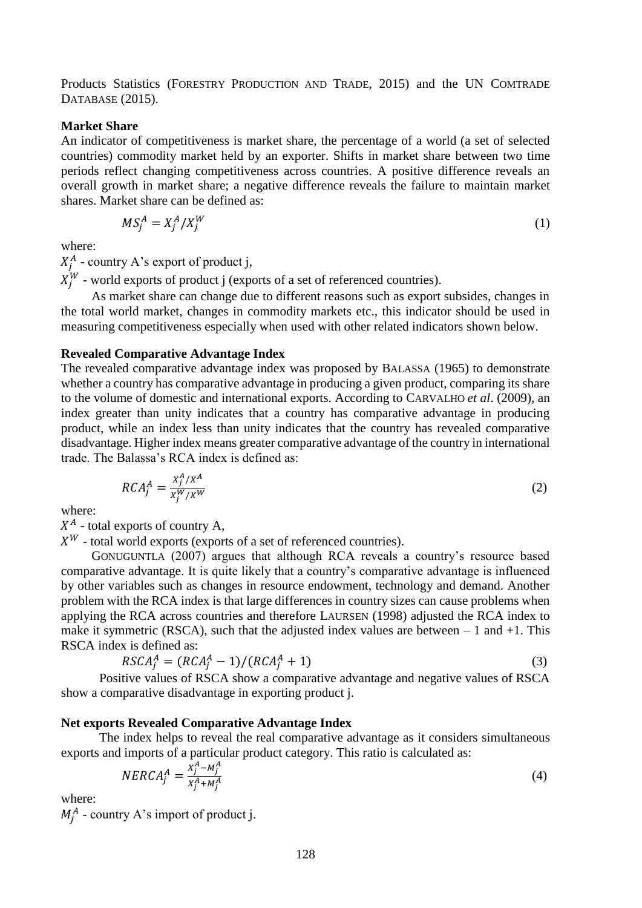Products Statistics (FORESTRY PRODUCTION AND TRADE, 2015) and the UN COMTRADE DATABASE (2015).

#### **Market Share**

An indicator of competitiveness is market share, the percentage of a world (a set of selected countries) commodity market held by an exporter. Shifts in market share between two time periods reflect changing competitiveness across countries. A positive difference reveals an overall growth in market share; a negative difference reveals the failure to maintain market shares. Market share can be defined as:

$$
MS_j^A = X_j^A / X_j^W \tag{1}
$$

where:

 $X_j^A$  - country A's export of product j,

 $X_j^W$  - world exports of product j (exports of a set of referenced countries).

As market share can change due to different reasons such as export subsides, changes in the total world market, changes in commodity markets etc., this indicator should be used in measuring competitiveness especially when used with other related indicators shown below.

#### **Revealed Comparative Advantage Index**

The revealed comparative advantage index was proposed by BALASSA (1965) to demonstrate whether a country has comparative advantage in producing a given product, comparing its share to the volume of domestic and international exports. According to CARVALHO *et al*. (2009), an index greater than unity indicates that a country has comparative advantage in producing product, while an index less than unity indicates that the country has revealed comparative disadvantage. Higher index means greater comparative advantage of the country in international trade. The Balassa's RCA index is defined as:

$$
RCA_j^A = \frac{x_j^A/x^A}{x_j^W/x^W}
$$
 (2)

where:

 $X^A$  - total exports of country A,

 $X^W$  - total world exports (exports of a set of referenced countries).

GONUGUNTLA (2007) argues that although RCA reveals a country's resource based comparative advantage. It is quite likely that a country's comparative advantage is influenced by other variables such as changes in resource endowment, technology and demand. Another problem with the RCA index is that large differences in country sizes can cause problems when applying the RCA across countries and therefore LAURSEN (1998) adjusted the RCA index to make it symmetric (RSCA), such that the adjusted index values are between  $-1$  and  $+1$ . This RSCA index is defined as:

$$
RSCA_j^A = (RCA_j^A - 1)/(RCA_j^A + 1)
$$
\n
$$
(3)
$$

Positive values of RSCA show a comparative advantage and negative values of RSCA show a comparative disadvantage in exporting product j.

#### **Net exports Revealed Comparative Advantage Index**

The index helps to reveal the real comparative advantage as it considers simultaneous exports and imports of a particular product category. This ratio is calculated as:

$$
NERCA_j^A = \frac{x_j^A - M_j^A}{x_j^A + M_j^A}
$$
\n<sup>(4)</sup>

where:

 $M_j^A$  - country A's import of product j.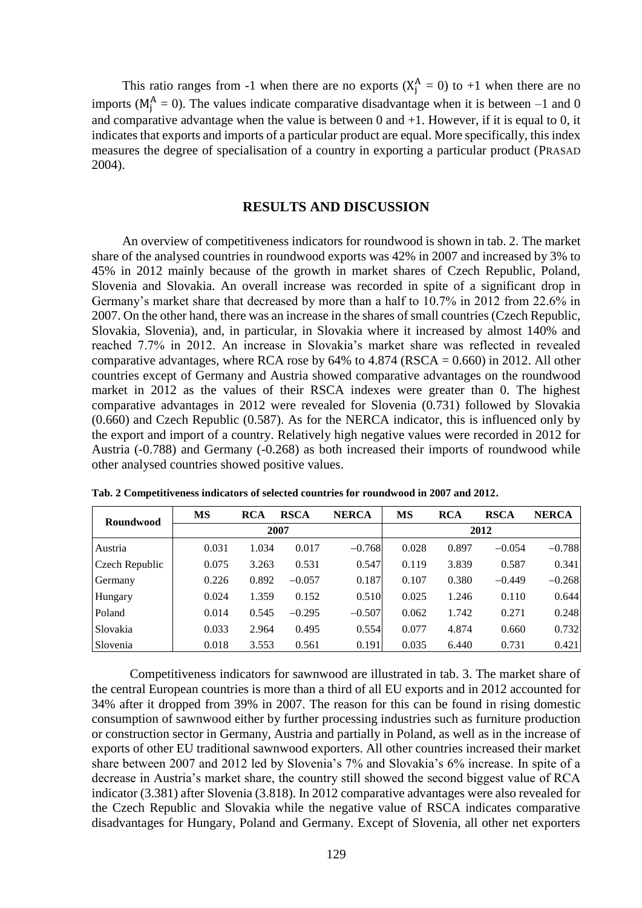This ratio ranges from -1 when there are no exports  $(X_j^A = 0)$  to +1 when there are no imports ( $M_j^A = 0$ ). The values indicate comparative disadvantage when it is between  $-1$  and 0 and comparative advantage when the value is between  $0$  and  $+1$ . However, if it is equal to  $0$ , it indicates that exports and imports of a particular product are equal. More specifically, this index measures the degree of specialisation of a country in exporting a particular product (PRASAD 2004).

### **RESULTS AND DISCUSSION**

An overview of competitiveness indicators for roundwood is shown in tab. 2. The market share of the analysed countries in roundwood exports was 42% in 2007 and increased by 3% to 45% in 2012 mainly because of the growth in market shares of Czech Republic, Poland, Slovenia and Slovakia. An overall increase was recorded in spite of a significant drop in Germany's market share that decreased by more than a half to 10.7% in 2012 from 22.6% in 2007. On the other hand, there was an increase in the shares of small countries (Czech Republic, Slovakia, Slovenia), and, in particular, in Slovakia where it increased by almost 140% and reached 7.7% in 2012. An increase in Slovakia's market share was reflected in revealed comparative advantages, where RCA rose by  $64\%$  to  $4.874$  (RSCA = 0.660) in 2012. All other countries except of Germany and Austria showed comparative advantages on the roundwood market in 2012 as the values of their RSCA indexes were greater than 0. The highest comparative advantages in 2012 were revealed for Slovenia (0.731) followed by Slovakia (0.660) and Czech Republic (0.587). As for the NERCA indicator, this is influenced only by the export and import of a country. Relatively high negative values were recorded in 2012 for Austria (-0.788) and Germany (-0.268) as both increased their imports of roundwood while other analysed countries showed positive values.

| Roundwood      | <b>MS</b> | <b>RCA</b> | <b>RSCA</b> | <b>NERCA</b> | <b>MS</b> | <b>RCA</b> | <b>RSCA</b> | <b>NERCA</b> |  |  |
|----------------|-----------|------------|-------------|--------------|-----------|------------|-------------|--------------|--|--|
|                |           |            | 2007        |              |           | 2012       |             |              |  |  |
| Austria        | 0.031     | 1.034      | 0.017       | $-0.768$     | 0.028     | 0.897      | $-0.054$    | $-0.788$     |  |  |
| Czech Republic | 0.075     | 3.263      | 0.531       | 0.547        | 0.119     | 3.839      | 0.587       | 0.341        |  |  |
| Germany        | 0.226     | 0.892      | $-0.057$    | 0.187        | 0.107     | 0.380      | $-0.449$    | $-0.268$     |  |  |
| Hungary        | 0.024     | 1.359      | 0.152       | 0.510        | 0.025     | 1.246      | 0.110       | 0.644        |  |  |
| Poland         | 0.014     | 0.545      | $-0.295$    | $-0.507$     | 0.062     | 1.742      | 0.271       | 0.248        |  |  |
| Slovakia       | 0.033     | 2.964      | 0.495       | 0.554        | 0.077     | 4.874      | 0.660       | 0.732        |  |  |
| Slovenia       | 0.018     | 3.553      | 0.561       | 0.191        | 0.035     | 6.440      | 0.731       | 0.421        |  |  |

**Tab. 2 Competitiveness indicators of selected countries for roundwood in 2007 and 2012.**

Competitiveness indicators for sawnwood are illustrated in tab. 3. The market share of the central European countries is more than a third of all EU exports and in 2012 accounted for 34% after it dropped from 39% in 2007. The reason for this can be found in rising domestic consumption of sawnwood either by further processing industries such as furniture production or construction sector in Germany, Austria and partially in Poland, as well as in the increase of exports of other EU traditional sawnwood exporters. All other countries increased their market share between 2007 and 2012 led by Slovenia's 7% and Slovakia's 6% increase. In spite of a decrease in Austria's market share, the country still showed the second biggest value of RCA indicator (3.381) after Slovenia (3.818). In 2012 comparative advantages were also revealed for the Czech Republic and Slovakia while the negative value of RSCA indicates comparative disadvantages for Hungary, Poland and Germany. Except of Slovenia, all other net exporters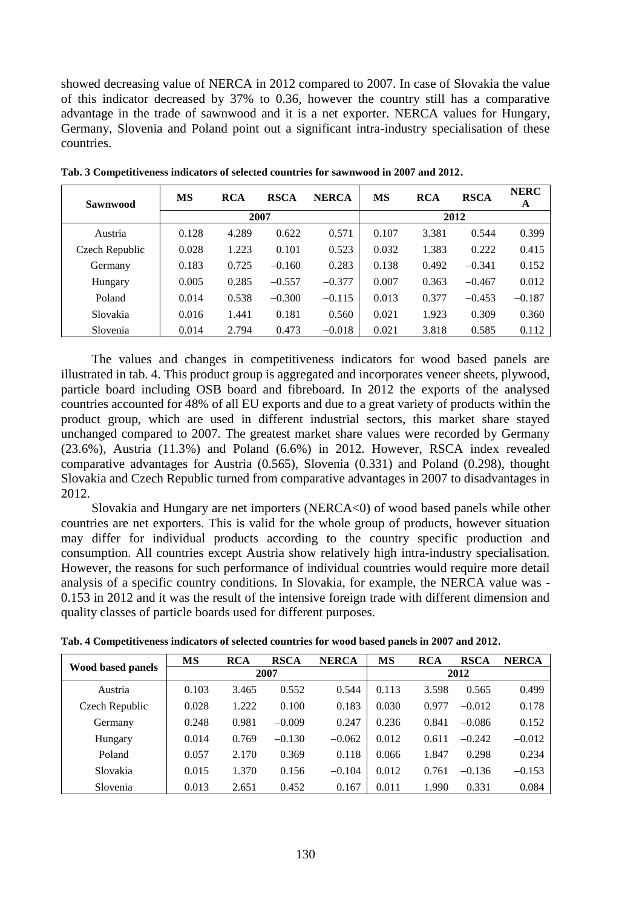showed decreasing value of NERCA in 2012 compared to 2007. In case of Slovakia the value of this indicator decreased by 37% to 0.36, however the country still has a comparative advantage in the trade of sawnwood and it is a net exporter. NERCA values for Hungary, Germany, Slovenia and Poland point out a significant intra-industry specialisation of these countries.

| <b>Sawnwood</b> | MS    | <b>RCA</b> | <b>RSCA</b> | <b>NERCA</b> | <b>MS</b> | <b>RCA</b> | <b>RSCA</b> | <b>NERC</b><br>A |  |  |
|-----------------|-------|------------|-------------|--------------|-----------|------------|-------------|------------------|--|--|
|                 |       |            | 2007        |              |           | 2012       |             |                  |  |  |
| Austria         | 0.128 | 4.289      | 0.622       | 0.571        | 0.107     | 3.381      | 0.544       | 0.399            |  |  |
| Czech Republic  | 0.028 | 1.223      | 0.101       | 0.523        | 0.032     | 1.383      | 0.222       | 0.415            |  |  |
| Germany         | 0.183 | 0.725      | $-0.160$    | 0.283        | 0.138     | 0.492      | $-0.341$    | 0.152            |  |  |
| Hungary         | 0.005 | 0.285      | $-0.557$    | $-0.377$     | 0.007     | 0.363      | $-0.467$    | 0.012            |  |  |
| Poland          | 0.014 | 0.538      | $-0.300$    | $-0.115$     | 0.013     | 0.377      | $-0.453$    | $-0.187$         |  |  |
| Slovakia        | 0.016 | 1.441      | 0.181       | 0.560        | 0.021     | 1.923      | 0.309       | 0.360            |  |  |
| Slovenia        | 0.014 | 2.794      | 0.473       | $-0.018$     | 0.021     | 3.818      | 0.585       | 0.112            |  |  |

**Tab. 3 Competitiveness indicators of selected countries for sawnwood in 2007 and 2012.**

The values and changes in competitiveness indicators for wood based panels are illustrated in tab. 4. This product group is aggregated and incorporates veneer sheets, plywood, particle board including OSB board and fibreboard. In 2012 the exports of the analysed countries accounted for 48% of all EU exports and due to a great variety of products within the product group, which are used in different industrial sectors, this market share stayed unchanged compared to 2007. The greatest market share values were recorded by Germany (23.6%), Austria (11.3%) and Poland (6.6%) in 2012. However, RSCA index revealed comparative advantages for Austria (0.565), Slovenia (0.331) and Poland (0.298), thought Slovakia and Czech Republic turned from comparative advantages in 2007 to disadvantages in 2012.

Slovakia and Hungary are net importers (NERCA<0) of wood based panels while other countries are net exporters. This is valid for the whole group of products, however situation may differ for individual products according to the country specific production and consumption. All countries except Austria show relatively high intra-industry specialisation. However, the reasons for such performance of individual countries would require more detail analysis of a specific country conditions. In Slovakia, for example, the NERCA value was - 0.153 in 2012 and it was the result of the intensive foreign trade with different dimension and quality classes of particle boards used for different purposes.

|                          | <b>MS</b> | <b>RCA</b> | <b>RSCA</b> | <b>NERCA</b> | <b>MS</b> | <b>RCA</b> | <b>RSCA</b> | <b>NERCA</b> |  |
|--------------------------|-----------|------------|-------------|--------------|-----------|------------|-------------|--------------|--|
| <b>Wood based panels</b> |           |            | 2007        |              |           | 2012       |             |              |  |
| Austria                  | 0.103     | 3.465      | 0.552       | 0.544        | 0.113     | 3.598      | 0.565       | 0.499        |  |
| Czech Republic           | 0.028     | 1.222      | 0.100       | 0.183        | 0.030     | 0.977      | $-0.012$    | 0.178        |  |
| Germany                  | 0.248     | 0.981      | $-0.009$    | 0.247        | 0.236     | 0.841      | $-0.086$    | 0.152        |  |
| Hungary                  | 0.014     | 0.769      | $-0.130$    | $-0.062$     | 0.012     | 0.611      | $-0.242$    | $-0.012$     |  |
| Poland                   | 0.057     | 2.170      | 0.369       | 0.118        | 0.066     | 1.847      | 0.298       | 0.234        |  |
| Slovakia                 | 0.015     | 1.370      | 0.156       | $-0.104$     | 0.012     | 0.761      | $-0.136$    | $-0.153$     |  |
| Slovenia                 | 0.013     | 2.651      | 0.452       | 0.167        | 0.011     | 1.990      | 0.331       | 0.084        |  |

**Tab. 4 Competitiveness indicators of selected countries for wood based panels in 2007 and 2012.**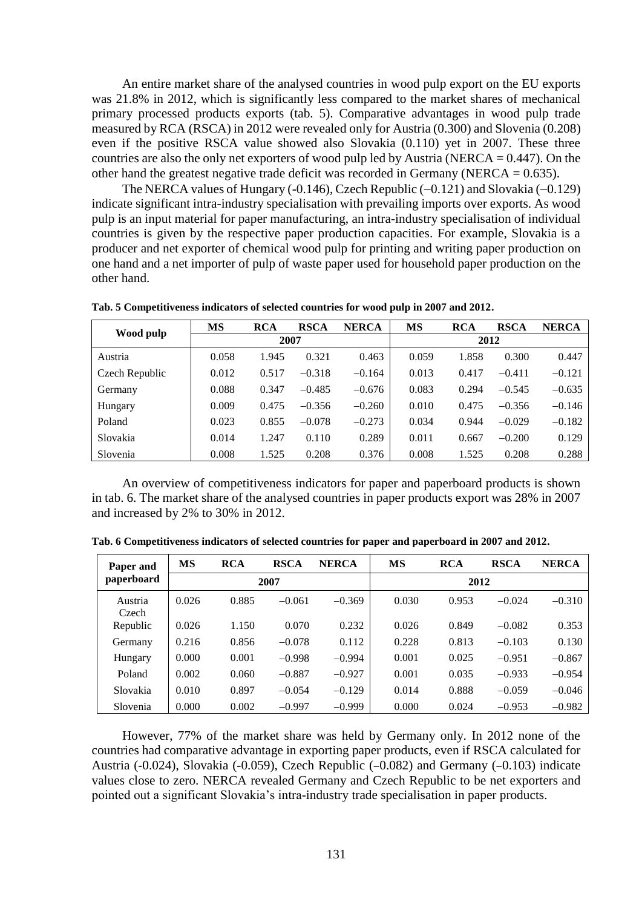An entire market share of the analysed countries in wood pulp export on the EU exports was 21.8% in 2012, which is significantly less compared to the market shares of mechanical primary processed products exports (tab. 5). Comparative advantages in wood pulp trade measured by RCA (RSCA) in 2012 were revealed only for Austria (0.300) and Slovenia (0.208) even if the positive RSCA value showed also Slovakia (0.110) yet in 2007. These three countries are also the only net exporters of wood pulp led by Austria (NERCA  $= 0.447$ ). On the other hand the greatest negative trade deficit was recorded in Germany (NERCA =  $0.635$ ).

The NERCA values of Hungary (-0.146), Czech Republic ( $-0.121$ ) and Slovakia ( $-0.129$ ) indicate significant intra-industry specialisation with prevailing imports over exports. As wood pulp is an input material for paper manufacturing, an intra-industry specialisation of individual countries is given by the respective paper production capacities. For example, Slovakia is a producer and net exporter of chemical wood pulp for printing and writing paper production on one hand and a net importer of pulp of waste paper used for household paper production on the other hand.

|                | <b>MS</b> | <b>RCA</b> | <b>RSCA</b> | <b>NERCA</b> | <b>MS</b> | <b>RCA</b> | <b>RSCA</b> | <b>NERCA</b> |  |  |
|----------------|-----------|------------|-------------|--------------|-----------|------------|-------------|--------------|--|--|
| Wood pulp      |           | 2007       |             |              |           | 2012       |             |              |  |  |
| Austria        | 0.058     | 1.945      | 0.321       | 0.463        | 0.059     | 1.858      | 0.300       | 0.447        |  |  |
| Czech Republic | 0.012     | 0.517      | $-0.318$    | $-0.164$     | 0.013     | 0.417      | $-0.411$    | $-0.121$     |  |  |
| Germany        | 0.088     | 0.347      | $-0.485$    | $-0.676$     | 0.083     | 0.294      | $-0.545$    | $-0.635$     |  |  |
| Hungary        | 0.009     | 0.475      | $-0.356$    | $-0.260$     | 0.010     | 0.475      | $-0.356$    | $-0.146$     |  |  |
| Poland         | 0.023     | 0.855      | $-0.078$    | $-0.273$     | 0.034     | 0.944      | $-0.029$    | $-0.182$     |  |  |
| Slovakia       | 0.014     | 1.247      | 0.110       | 0.289        | 0.011     | 0.667      | $-0.200$    | 0.129        |  |  |
| Slovenia       | 0.008     | 1.525      | 0.208       | 0.376        | 0.008     | 1.525      | 0.208       | 0.288        |  |  |

**Tab. 5 Competitiveness indicators of selected countries for wood pulp in 2007 and 2012.**

An overview of competitiveness indicators for paper and paperboard products is shown in tab. 6. The market share of the analysed countries in paper products export was 28% in 2007 and increased by 2% to 30% in 2012.

| Paper and        | MS    | <b>RCA</b> | <b>RSCA</b> | <b>NERCA</b> | <b>MS</b> | <b>RCA</b> | <b>RSCA</b> | <b>NERCA</b> |
|------------------|-------|------------|-------------|--------------|-----------|------------|-------------|--------------|
| paperboard       |       |            | 2007        |              |           |            |             |              |
| Austria<br>Czech | 0.026 | 0.885      | $-0.061$    | $-0.369$     | 0.030     | 0.953      | $-0.024$    | $-0.310$     |
| Republic         | 0.026 | 1.150      | 0.070       | 0.232        | 0.026     | 0.849      | $-0.082$    | 0.353        |
| Germany          | 0.216 | 0.856      | $-0.078$    | 0.112        | 0.228     | 0.813      | $-0.103$    | 0.130        |
| Hungary          | 0.000 | 0.001      | $-0.998$    | $-0.994$     | 0.001     | 0.025      | $-0.951$    | $-0.867$     |
| Poland           | 0.002 | 0.060      | $-0.887$    | $-0.927$     | 0.001     | 0.035      | $-0.933$    | $-0.954$     |
| Slovakia         | 0.010 | 0.897      | $-0.054$    | $-0.129$     | 0.014     | 0.888      | $-0.059$    | $-0.046$     |
| Slovenia         | 0.000 | 0.002      | $-0.997$    | $-0.999$     | 0.000     | 0.024      | $-0.953$    | $-0.982$     |

**Tab. 6 Competitiveness indicators of selected countries for paper and paperboard in 2007 and 2012.**

However, 77% of the market share was held by Germany only. In 2012 none of the countries had comparative advantage in exporting paper products, even if RSCA calculated for Austria (-0.024), Slovakia (-0.059), Czech Republic (-0.082) and Germany (-0.103) indicate values close to zero. NERCA revealed Germany and Czech Republic to be net exporters and pointed out a significant Slovakia's intra-industry trade specialisation in paper products.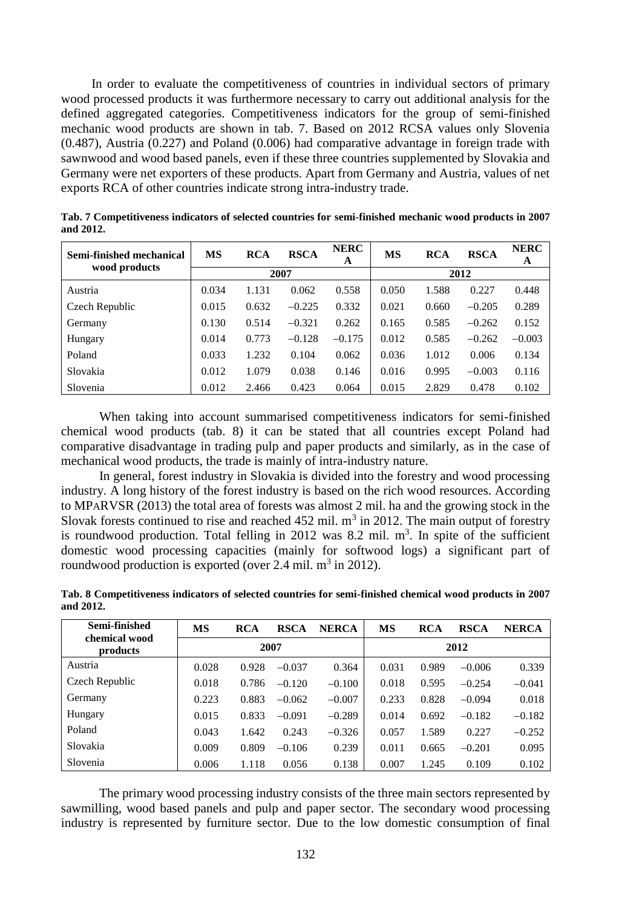In order to evaluate the competitiveness of countries in individual sectors of primary wood processed products it was furthermore necessary to carry out additional analysis for the defined aggregated categories. Competitiveness indicators for the group of semi-finished mechanic wood products are shown in tab. 7. Based on 2012 RCSA values only Slovenia (0.487), Austria (0.227) and Poland (0.006) had comparative advantage in foreign trade with sawnwood and wood based panels, even if these three countries supplemented by Slovakia and Germany were net exporters of these products. Apart from Germany and Austria, values of net exports RCA of other countries indicate strong intra-industry trade.

| Semi-finished mechanical | <b>MS</b> | <b>RCA</b> | <b>RSCA</b> | <b>NERC</b><br>A | <b>MS</b> | <b>RCA</b> | <b>RSCA</b> | <b>NERC</b><br>A |  |
|--------------------------|-----------|------------|-------------|------------------|-----------|------------|-------------|------------------|--|
| wood products            |           |            | 2007        |                  |           | 2012       |             |                  |  |
| Austria                  | 0.034     | 1.131      | 0.062       | 0.558            | 0.050     | 1.588      | 0.227       | 0.448            |  |
| Czech Republic           | 0.015     | 0.632      | $-0.225$    | 0.332            | 0.021     | 0.660      | $-0.205$    | 0.289            |  |
| Germany                  | 0.130     | 0.514      | $-0.321$    | 0.262            | 0.165     | 0.585      | $-0.262$    | 0.152            |  |
| Hungary                  | 0.014     | 0.773      | $-0.128$    | $-0.175$         | 0.012     | 0.585      | $-0.262$    | $-0.003$         |  |
| Poland                   | 0.033     | 1.232      | 0.104       | 0.062            | 0.036     | 1.012      | 0.006       | 0.134            |  |
| Slovakia                 | 0.012     | 1.079      | 0.038       | 0.146            | 0.016     | 0.995      | $-0.003$    | 0.116            |  |
| Slovenia                 | 0.012     | 2.466      | 0.423       | 0.064            | 0.015     | 2.829      | 0.478       | 0.102            |  |

**Tab. 7 Competitiveness indicators of selected countries for semi-finished mechanic wood products in 2007 and 2012.**

When taking into account summarised competitiveness indicators for semi-finished chemical wood products (tab. 8) it can be stated that all countries except Poland had comparative disadvantage in trading pulp and paper products and similarly, as in the case of mechanical wood products, the trade is mainly of intra-industry nature.

In general, forest industry in Slovakia is divided into the forestry and wood processing industry. A long history of the forest industry is based on the rich wood resources. According to MPARVSR (2013) the total area of forests was almost 2 mil. ha and the growing stock in the Slovak forests continued to rise and reached  $452$  mil.  $m<sup>3</sup>$  in 2012. The main output of forestry is roundwood production. Total felling in 2012 was 8.2 mil.  $m<sup>3</sup>$ . In spite of the sufficient domestic wood processing capacities (mainly for softwood logs) a significant part of roundwood production is exported (over 2.4 mil.  $m^3$  in 2012).

| Tab. o Competitiveness muicators of selected countries for semi-finished chemical wood products in 2007<br>and 2012. |    |     |                    |    |     |       |       |
|----------------------------------------------------------------------------------------------------------------------|----|-----|--------------------|----|-----|-------|-------|
| Semi-finished                                                                                                        | MS | PCA | <b>DECA NEDCAL</b> | MS | PCA | DCC A | NFPCA |

**Tab. 8 Competitiveness indicators of selected countries for semi-finished chemical wood products in 2007** 

| Semi-finished<br>chemical wood | MS    | <b>RCA</b> | <b>RSCA</b> | <b>NERCA</b> | MS    | <b>RCA</b> | <b>RSCA</b> | <b>NERCA</b> |  |
|--------------------------------|-------|------------|-------------|--------------|-------|------------|-------------|--------------|--|
| products                       |       |            | 2007        |              | 2012  |            |             |              |  |
| Austria                        | 0.028 | 0.928      | $-0.037$    | 0.364        | 0.031 | 0.989      | $-0.006$    | 0.339        |  |
| Czech Republic                 | 0.018 | 0.786      | $-0.120$    | $-0.100$     | 0.018 | 0.595      | $-0.254$    | $-0.041$     |  |
| Germany                        | 0.223 | 0.883      | $-0.062$    | $-0.007$     | 0.233 | 0.828      | $-0.094$    | 0.018        |  |
| Hungary                        | 0.015 | 0.833      | $-0.091$    | $-0.289$     | 0.014 | 0.692      | $-0.182$    | $-0.182$     |  |
| Poland                         | 0.043 | 1.642      | 0.243       | $-0.326$     | 0.057 | 1.589      | 0.227       | $-0.252$     |  |
| Slovakia                       | 0.009 | 0.809      | $-0.106$    | 0.239        | 0.011 | 0.665      | $-0.201$    | 0.095        |  |
| Slovenia                       | 0.006 | 1.118      | 0.056       | 0.138        | 0.007 | 1.245      | 0.109       | 0.102        |  |

The primary wood processing industry consists of the three main sectors represented by sawmilling, wood based panels and pulp and paper sector. The secondary wood processing industry is represented by furniture sector. Due to the low domestic consumption of final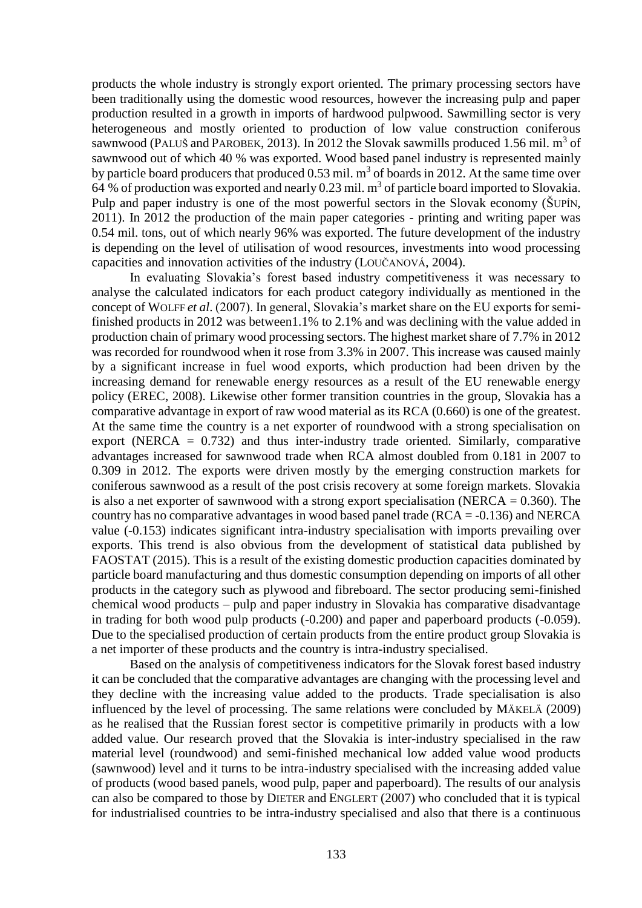products the whole industry is strongly export oriented. The primary processing sectors have been traditionally using the domestic wood resources, however the increasing pulp and paper production resulted in a growth in imports of hardwood pulpwood. Sawmilling sector is very heterogeneous and mostly oriented to production of low value construction coniferous sawnwood (PALUŠ and PAROBEK, 2013). In 2012 the Slovak sawmills produced 1.56 mil.  $m^3$  of sawnwood out of which 40 % was exported. Wood based panel industry is represented mainly by particle board producers that produced  $0.53$  mil.  $m<sup>3</sup>$  of boards in 2012. At the same time over 64 % of production was exported and nearly 0.23 mil.  $m<sup>3</sup>$  of particle board imported to Slovakia. Pulp and paper industry is one of the most powerful sectors in the Slovak economy ( $\text{\r{S}UP}$ IN, 2011). In 2012 the production of the main paper categories - printing and writing paper was 0.54 mil. tons, out of which nearly 96% was exported. The future development of the industry is depending on the level of utilisation of wood resources, investments into wood processing capacities and innovation activities of the industry (LOUČANOVÁ, 2004).

In evaluating Slovakia's forest based industry competitiveness it was necessary to analyse the calculated indicators for each product category individually as mentioned in the concept of WOLFF *et al*. (2007). In general, Slovakia's market share on the EU exports for semifinished products in 2012 was between1.1% to 2.1% and was declining with the value added in production chain of primary wood processing sectors. The highest market share of 7.7% in 2012 was recorded for roundwood when it rose from 3.3% in 2007. This increase was caused mainly by a significant increase in fuel wood exports, which production had been driven by the increasing demand for renewable energy resources as a result of the EU renewable energy policy (EREC, 2008). Likewise other former transition countries in the group, Slovakia has a comparative advantage in export of raw wood material as its RCA (0.660) is one of the greatest. At the same time the country is a net exporter of roundwood with a strong specialisation on export (NERCA  $= 0.732$ ) and thus inter-industry trade oriented. Similarly, comparative advantages increased for sawnwood trade when RCA almost doubled from 0.181 in 2007 to 0.309 in 2012. The exports were driven mostly by the emerging construction markets for coniferous sawnwood as a result of the post crisis recovery at some foreign markets. Slovakia is also a net exporter of sawnwood with a strong export specialisation (NERCA  $= 0.360$ ). The country has no comparative advantages in wood based panel trade ( $RCA = -0.136$ ) and NERCA value (-0.153) indicates significant intra-industry specialisation with imports prevailing over exports. This trend is also obvious from the development of statistical data published by FAOSTAT (2015). This is a result of the existing domestic production capacities dominated by particle board manufacturing and thus domestic consumption depending on imports of all other products in the category such as plywood and fibreboard. The sector producing semi-finished chemical wood products – pulp and paper industry in Slovakia has comparative disadvantage in trading for both wood pulp products (-0.200) and paper and paperboard products (-0.059). Due to the specialised production of certain products from the entire product group Slovakia is a net importer of these products and the country is intra-industry specialised.

Based on the analysis of competitiveness indicators for the Slovak forest based industry it can be concluded that the comparative advantages are changing with the processing level and they decline with the increasing value added to the products. Trade specialisation is also influenced by the level of processing. The same relations were concluded by MÄKELÄ (2009) as he realised that the Russian forest sector is competitive primarily in products with a low added value. Our research proved that the Slovakia is inter-industry specialised in the raw material level (roundwood) and semi-finished mechanical low added value wood products (sawnwood) level and it turns to be intra-industry specialised with the increasing added value of products (wood based panels, wood pulp, paper and paperboard). The results of our analysis can also be compared to those by DIETER and ENGLERT (2007) who concluded that it is typical for industrialised countries to be intra-industry specialised and also that there is a continuous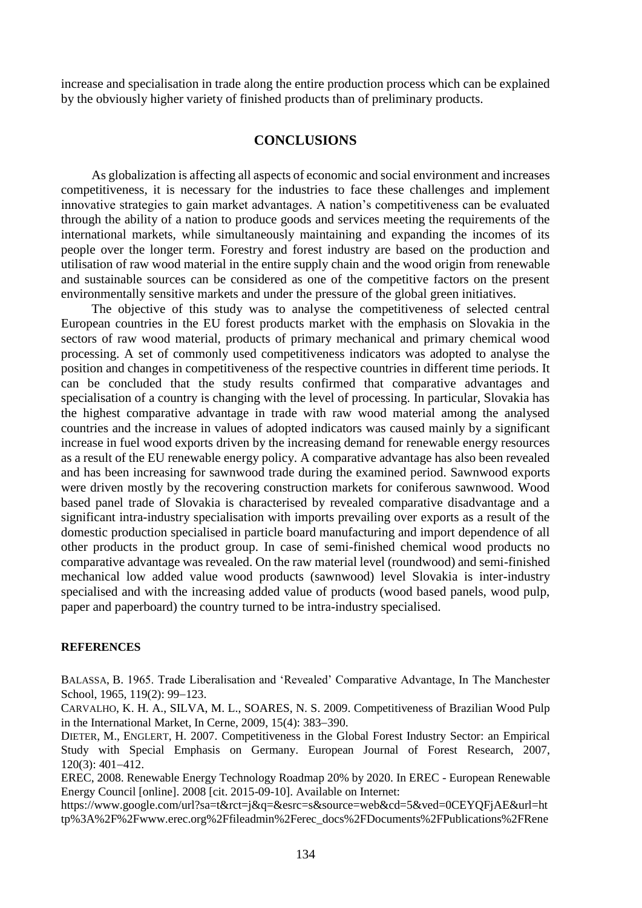increase and specialisation in trade along the entire production process which can be explained by the obviously higher variety of finished products than of preliminary products.

# **CONCLUSIONS**

As globalization is affecting all aspects of economic and social environment and increases competitiveness, it is necessary for the industries to face these challenges and implement innovative strategies to gain market advantages. A nation's competitiveness can be evaluated through the ability of a nation to produce goods and services meeting the requirements of the international markets, while simultaneously maintaining and expanding the incomes of its people over the longer term. Forestry and forest industry are based on the production and utilisation of raw wood material in the entire supply chain and the wood origin from renewable and sustainable sources can be considered as one of the competitive factors on the present environmentally sensitive markets and under the pressure of the global green initiatives.

The objective of this study was to analyse the competitiveness of selected central European countries in the EU forest products market with the emphasis on Slovakia in the sectors of raw wood material, products of primary mechanical and primary chemical wood processing. A set of commonly used competitiveness indicators was adopted to analyse the position and changes in competitiveness of the respective countries in different time periods. It can be concluded that the study results confirmed that comparative advantages and specialisation of a country is changing with the level of processing. In particular, Slovakia has the highest comparative advantage in trade with raw wood material among the analysed countries and the increase in values of adopted indicators was caused mainly by a significant increase in fuel wood exports driven by the increasing demand for renewable energy resources as a result of the EU renewable energy policy. A comparative advantage has also been revealed and has been increasing for sawnwood trade during the examined period. Sawnwood exports were driven mostly by the recovering construction markets for coniferous sawnwood. Wood based panel trade of Slovakia is characterised by revealed comparative disadvantage and a significant intra-industry specialisation with imports prevailing over exports as a result of the domestic production specialised in particle board manufacturing and import dependence of all other products in the product group. In case of semi-finished chemical wood products no comparative advantage was revealed. On the raw material level (roundwood) and semi-finished mechanical low added value wood products (sawnwood) level Slovakia is inter-industry specialised and with the increasing added value of products (wood based panels, wood pulp, paper and paperboard) the country turned to be intra-industry specialised.

#### **REFERENCES**

BALASSA, B. 1965. Trade Liberalisation and 'Revealed' Comparative Advantage, In The Manchester School, 1965, 119(2): 99-123.

CARVALHO, K. H. A., SILVA, M. L., SOARES, N. S. 2009. Competitiveness of Brazilian Wood Pulp in the International Market, In Cerne,  $2009$ ,  $15(4)$ :  $383-390$ .

DIETER, M., ENGLERT, H. 2007. Competitiveness in the Global Forest Industry Sector: an Empirical Study with Special Emphasis on Germany. European Journal of Forest Research, 2007,  $120(3)$ : 401-412.

EREC, 2008. Renewable Energy Technology Roadmap 20% by 2020. In EREC - European Renewable Energy Council [online]. 2008 [cit. 2015-09-10]. Available on Internet:

https://www.google.com/url?sa=t&rct=j&q=&esrc=s&source=web&cd=5&ved=0CEYQFjAE&url=ht tp%3A%2F%2Fwww.erec.org%2Ffileadmin%2Ferec\_docs%2FDocuments%2FPublications%2FRene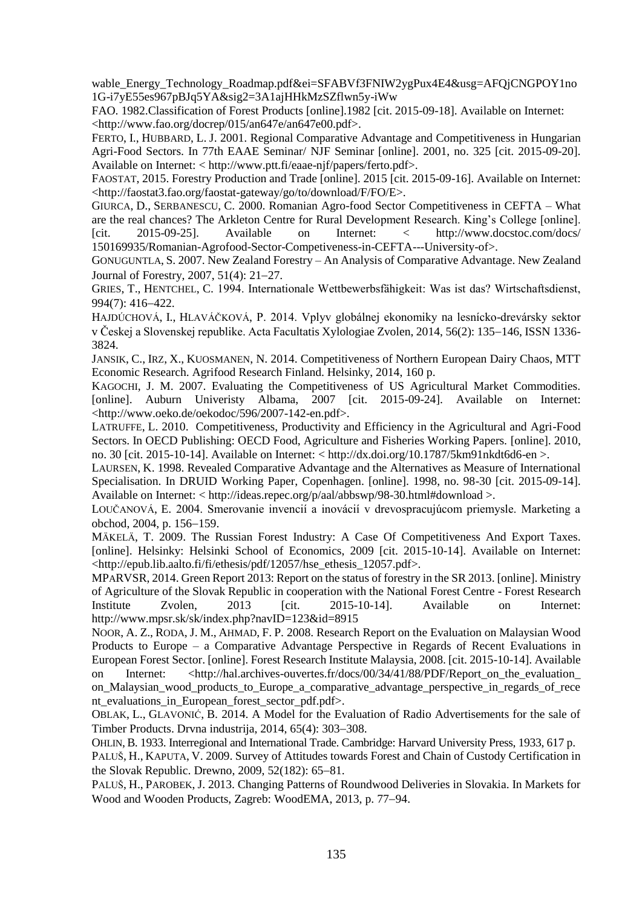wable\_Energy\_Technology\_Roadmap.pdf&ei=SFABVf3FNIW2ygPux4E4&usg=AFQjCNGPOY1no 1G-i7yE55es967pBJq5YA&sig2=3A1ajHHkMzSZflwn5y-iWw

FAO. 1982.Classification of Forest Products [online].1982 [cit. 2015-09-18]. Available on Internet: <http://www.fao.org/docrep/015/an647e/an647e00.pdf>.

FERTO, I., HUBBARD, L. J. 2001. Regional Comparative Advantage and Competitiveness in Hungarian Agri-Food Sectors. In 77th EAAE Seminar/ NJF Seminar [online]. 2001, no. 325 [cit. 2015-09-20]. Available on Internet: < http://www.ptt.fi/eaae-njf/papers/ferto.pdf>.

FAOSTAT, 2015. Forestry Production and Trade [online]. 2015 [cit. 2015-09-16]. Available on Internet: <http://faostat3.fao.org/faostat-gateway/go/to/download/F/FO/E>.

GIURCA, D., SERBANESCU, C. 2000. Romanian Agro-food Sector Competitiveness in CEFTA – What are the real chances? The Arkleton Centre for Rural Development Research. King's College [online]. [cit. 2015-09-25]. Available on Internet: < http://www.docstoc.com/docs/ 150169935/Romanian-Agrofood-Sector-Competiveness-in-CEFTA---University-of>.

GONUGUNTLA, S. 2007. New Zealand Forestry – An Analysis of Comparative Advantage. New Zealand Journal of Forestry,  $2007, 51(4)$ :  $21-27$ .

GRIES, T., HENTCHEL, C. 1994. Internationale Wettbewerbsfähigkeit: Was ist das? Wirtschaftsdienst,  $994(7): 416 - 422.$ 

HAJDÚCHOVÁ, I., HLAVÁČKOVÁ, P. 2014. Vplyv globálnej ekonomiky na lesnícko-drevársky sektor v Českej a Slovenskej republike. Acta Facultatis Xylologiae Zvolen, 2014, 56(2): 135–146, ISSN 1336-3824.

JANSIK, C., IRZ, X., KUOSMANEN, N. 2014. Competitiveness of Northern European Dairy Chaos, MTT Economic Research. Agrifood Research Finland. Helsinky, 2014, 160 p.

KAGOCHI, J. M. 2007. Evaluating the Competitiveness of US Agricultural Market Commodities. [online]. Auburn Univeristy Albama, 2007 [cit. 2015-09-24]. Available on Internet: <http://www.oeko.de/oekodoc/596/2007-142-en.pdf>.

LATRUFFE, L. 2010. Competitiveness, Productivity and Efficiency in the Agricultural and Agri-Food Sectors. In OECD Publishing: OECD Food, Agriculture and Fisheries Working Papers. [online]. 2010, no. 30 [cit. 2015-10-14]. Available on Internet: < http://dx.doi.org/10.1787/5km91nkdt6d6-en >.

LAURSEN, K. 1998. Revealed Comparative Advantage and the Alternatives as Measure of International Specialisation. In DRUID Working Paper, Copenhagen. [online]. 1998, no. 98-30 [cit. 2015-09-14]. Available on Internet: < http://ideas.repec.org/p/aal/abbswp/98-30.html#download >.

LOUČANOVÁ, E. 2004. Smerovanie invencií a inovácií v drevospracujúcom priemysle. Marketing a obchod, 2004, p. 156-159.

MÄKELÄ, T. 2009. The Russian Forest Industry: A Case Of Competitiveness And Export Taxes. [online]. Helsinky: Helsinki School of Economics, 2009 [cit. 2015-10-14]. Available on Internet: <http://epub.lib.aalto.fi/fi/ethesis/pdf/12057/hse\_ethesis\_12057.pdf>.

MPARVSR, 2014. Green Report 2013: Report on the status of forestry in the SR 2013. [online]. Ministry of Agriculture of the Slovak Republic in cooperation with the National Forest Centre - Forest Research Institute Zvolen, 2013 [cit. 2015-10-14]. Available on Internet: <http://www.mpsr.sk/sk/index.php?navID=123&id=8915>

NOOR, A. Z., RODA, J. M., AHMAD, F. P. 2008. Research Report on the Evaluation on Malaysian Wood Products to Europe – a Comparative Advantage Perspective in Regards of Recent Evaluations in European Forest Sector. [online]. Forest Research Institute Malaysia, 2008. [cit. 2015-10-14]. Available on Internet: <http://hal.archives-ouvertes.fr/docs/00/34/41/88/PDF/Report on the evaluation

on\_Malaysian\_wood\_products\_to\_Europe\_a\_comparative\_advantage\_perspective\_in\_regards\_of\_rece nt\_evaluations\_in\_European\_forest\_sector\_pdf.pdf>.

OBLAK, L., GLAVONIĆ, B. 2014. A Model for the Evaluation of Radio Advertisements for the sale of Timber Products. Drvna industrija, 2014, 65(4): 303–308.

OHLIN, B. 1933. Interregional and International Trade. Cambridge: Harvard University Press, 1933, 617 p.

PALUŠ, H., KAPUTA, V. 2009. Survey of Attitudes towards Forest and Chain of Custody Certification in the Slovak Republic. Drewno,  $2009, 52(182)$ : 65-81.

PALUŠ, H., PAROBEK, J. 2013. Changing Patterns of Roundwood Deliveries in Slovakia. In Markets for Wood and Wooden Products, Zagreb: WoodEMA, 2013, p. 77–94.